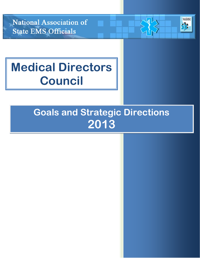National Association of **State EMS Officials** 



# **Medical Directors Council**

## **Goals and Strategic Directions 2013**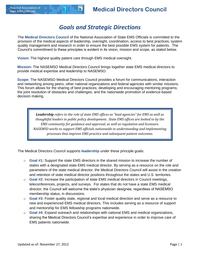### *Goals and Strategic Directions*

The **Medical Directors Council** of the National Association of State EMS Officials is committed to the provision of the medical aspects of leadership, oversight, coordination, access to best practices, system quality management and research in order to ensure the best possible EMS system for patients. The Council's commitment to these principles is evident in its vision, mission and scope, as stated below.

**Vision:** The highest quality patient care through EMS medical oversight.

**Mission:** The NASEMSO Medical Directors Council brings together state EMS medical directors to provide medical expertise and leadership to NASEMSO.

**Scope:** The NASEMSO Medical Directors Council provides a forum for communications, interaction and networking among peers, other national organizations and federal agencies with similar missions. This forum allows for the sharing of best practices; developing and encouraging mentoring programs; the joint resolution of obstacles and challenges; and the nationwide promotion of evidence-based decision making.

*Leadership refers to the role of state EMS offices as "lead agencies" for EMS as well as thoughtful leaders in public policy development. State EMS offices are looked to by the EMS community for guidance and approval, as well as regulation and licensure. NASEMSO works to support EMS officials nationwide in understanding and implementing processes that improve EMS practice and subsequent patient outcomes.*

The Medical Directors Council supports **leadership** under these principle goals:

- o **Goal #1:** Support the state EMS directors in the shared mission to increase the number of states with a designated state EMS medical director. By serving as a resource on the role and parameters of the state medical director, the Medical Directors Council will assist in the creation and retention of state medical director positions throughout the states and U.S. territories.
- o **Goal #2:** Increase the participation of state EMS medical directors in Council meetings, teleconferences, projects, and surveys. For states that do not have a state EMS medical director, the Council will welcome the state's physician designee, regardless of NASEMSO membership status, in discussions.
- o **Goal #3:** Foster quality state, regional and local medical direction and serve as a resource to new and experienced EMS medical directors. This includes serving as a resource of support and mentorship for EMS fellowship programs nationwide.
- o **Goal #4:** Expand outreach and relationships with national EMS and medical organizations, sharing the Medical Directors Council's expertise and experience in order to improve care of EMS patients nationwide.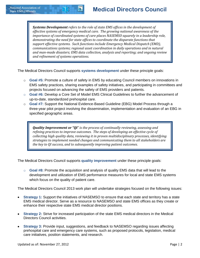*Systems Development refers to the role of state EMS offices in the development of effective systems of emergency medical care. The growing national awareness of the importance of coordinated systems of care places NASEMSO squarely in a leadership role, demonstrating the need for state offices to coordinate the disparate functions that support effective systems. Such functions include Emergency Medical Dispatch (EMD), communications systems; regional asset coordination in daily operations and in natural and man-made disasters; EMS data collection, analysis and reporting; and ongoing review and refinement of systems operations.*

The Medical Directors Council supports **systems development** under these principle goals:

- o **Goal #5:** Promote a culture of safety in EMS by educating Council members on innovations in EMS safety practices, sharing examples of safety initiatives, and participating in committees and projects focused on advancing the safety of EMS providers and patients.
- o **Goal #6:** Develop a Core Set of Model EMS Clinical Guidelines to further the advancement of up-to-date, standardized prehospital care.
- o **Goal #7:** Support the National Evidence-Based Guideline (EBG) Model Process through a three-year pilot project involving the dissemination, implementation and evaluation of an EBG in specified geographic areas.

*Quality Improvement or "QI" is the process of continually reviewing, assessing and refining practices to improve outcomes. The steps of developing an effective cycle of collecting high quality data, reviewing it in proven multidisciplinary processes, identifying strategies to implement needed changes and communicating them to all stakeholders are the key to QI success, and to subsequently improving patient outcomes.* 

The Medical Directors Council supports **quality improvement** under these principle goals:

o **Goal #8:** Promote the acquisition and analysis of quality EMS data that will lead to the development and utilization of EMS performance measures for local and state EMS systems which focus on the quality of patient care.

The Medical Directors Council 2013 work plan will undertake strategies focused on the following issues:

- **Strategy 1:** Support the initiatives of NASEMSO to ensure that each state and territory has a state EMS medical director. Serve as a resource to NASEMSO and state EMS offices as they create or enhance their respective state EMS medical director positions.
- **Strategy 2:** Strive for increased participation of the state EMS medical directors in the Medical Directors Council activities.
- **Strategy 3:** Provide input, suggestions, and feedback to NASEMSO regarding issues affecting prehospital care and emergency care systems, such as proposed protocols, legislation, medical care initiatives, position statements, and research.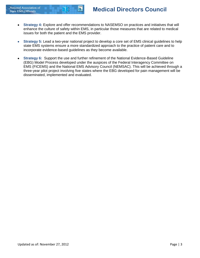- **Strategy 4:** Explore and offer recommendations to NASEMSO on practices and initiatives that will  $\bullet$ enhance the culture of safety within EMS, in particular those measures that are related to medical issues for both the patient and the EMS provider.
- **Strategy 5:** Lead a two-year national project to develop a core set of EMS clinical guidelines to help  $\bullet$ state EMS systems ensure a more standardized approach to the practice of patient care and to incorporate evidence-based guidelines as they become available.
- **Strategy 6:** Support the use and further refinement of the National Evidence-Based Guideline (EBG) Model Process developed under the auspices of the Federal Interagency Committee on EMS (FICEMS) and the National EMS Advisory Council (NEMSAC). This will be achieved through a three-year pilot project involving five states where the EBG developed for pain management will be disseminated, implemented and evaluated.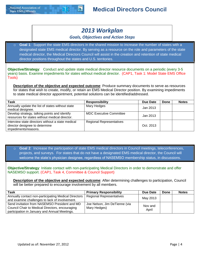

### **Medical Directors Council**

### *2013 Workplan*

### *Goals, Objectives and Action Steps*

Goal 1: Support the state EMS directors in the shared mission to increase the number of states with a designated state EMS medical director. By serving as a resource on the role and parameters of the state medical director, the Medical Directors Council will assist in the creation and retention of state medical director positions throughout the states and U.S. territories.

**Objective/Strategy**: Conduct and update state medical director resource documents on a periodic (every 3-5 years) basis. Examine impediments for states without medical director. (CAP1, Task 1: Model State EMS Office Tools)

**Description of the objective and expected outcome**: Produce summary documents to serve as resources for states that wish to create, modify, or retain an EMS Medical Director position. By examining impediments to state medical director appointment, potential solutions can be identified/addressed.

| Task                                                                                                        | <b>Responsibility</b>           | Due Date  | Done | <b>Notes</b> |
|-------------------------------------------------------------------------------------------------------------|---------------------------------|-----------|------|--------------|
| Annually update the list of states without state<br>medical designee.                                       | Mary Hedges                     | Jan 2013  |      |              |
| Develop strategy, talking points and identify<br>resources for states without medical director.             | <b>MDC Executive Committee</b>  | Jan 2013  |      |              |
| Interview state directors without a state medical<br>director designee to determine<br>impediments/reasons. | <b>Regional Representatives</b> | Oct. 2013 |      |              |

Goal 2: Increase the participation of state EMS medical directors in Council meetings, teleconferences, projects, and surveys. For states that do not have a designated EMS medical director, the Council will welcome the state's physician designee, regardless of NASEMSO membership status, in discussions.

**Objective/Strategy**: Initiate contact with non-participating Medical Directors in order to demonstrate and offer NASEMSO support. (CAP1, Task 4, Committee & Council Support)

**Description of the objective and expected outcome**: After determining challenges to participation, Council will be better prepared to encourage involvement by all members.

| Task                                                                                                                                              | <b>Primary Responsibility</b>                 | Due Date         | Done | <b>Notes</b> |
|---------------------------------------------------------------------------------------------------------------------------------------------------|-----------------------------------------------|------------------|------|--------------|
| Annually contact non-participating Medical Directors  <br>and examine challenges to lack of involvement.                                          | <b>Regional Representatives</b>               | May 2013         |      |              |
| Send invitation from NASEMSO President and MD<br>Council Chair to Medical Directors, encouraging<br>participation in January and Annual Meetings. | Joe Nelson, Jim DeTienne (via<br>Mary Hedges) | Nov and<br>April |      |              |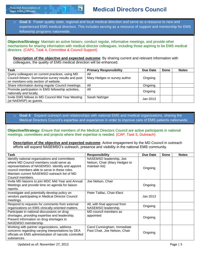

o **Goal 3**: Foster quality state, regional and local medical direction and serve as a resource to new and experienced EMS medical directors. This includes serving as a resource of support and mentorship for EMS fellowship programs nationwide.

**Objective/Strategy**: Maintain an active listserv, conduct regular, informative meetings, and provide other mechanisms for sharing information with medical director colleagues, including those aspiring to be EMS medical directors. (CAP1, Task 4, Committee & Council Support)

**Description of the objective and expected outcome**: By sharing current and relevant information with colleagues, the quality of EMS medical direction will be enhanced.

| Task                                                | <b>Primary Responsibility</b> | Due Date | Done | <b>Notes</b> |
|-----------------------------------------------------|-------------------------------|----------|------|--------------|
| Query colleagues on current practices, using MD     | All                           |          |      |              |
| Council listserv. Summarize survey results and post | Mary Hedges or survey author  | Ongoing  |      |              |
| on members-only section of website.                 |                               |          |      |              |
| Share information during regular Council meetings.  | All                           | Ongoing  |      |              |
| Promote participation in EMS fellowship activities, | All                           |          |      |              |
| nationally and locally.                             |                               | Ongoing  |      |              |
| Invite EMS fellows to MD Council Mid Year Meeting   | Sarah Nafziger                | Jan 2013 |      |              |
| (at NAEMSP) as guests.                              |                               |          |      |              |

#### **Goal 4:** Expand outreach and relationships with national EMS and medical organizations, sharing the Medical Directors Council's expertise and experience in order to improve care of EMS patients nationwide.

**Objective/Strategy:** Ensure that members of the Medical Directors Council are active participants in national meetings, committees and projects where their expertise is needed. (CAP, Task 5, Outreach)

**Description of the objective and expected outcome:** Active engagement by the MD Council in outreach efforts will expand NASEMSO's outreach, presence and visibility in the national EMS community.

| Task                                                                                                                                                                                                                                                               | <b>Responsibility</b>                                                      | Due Date | Done | <b>Notes</b> |
|--------------------------------------------------------------------------------------------------------------------------------------------------------------------------------------------------------------------------------------------------------------------|----------------------------------------------------------------------------|----------|------|--------------|
| Identify national organizations and committees<br>where MD Council members could serve as<br>representatives of NASEMSO. Identify and appoint<br>council members able to serve in these roles.<br>Maintain current NASEMSO outreach list of MD<br>Council members. | NASEMSO leadership, Joe<br>Nelson, Chair (Mary Hedges to<br>maintain list) | Ongoing  |      |              |
| Invite MD liaisons to join MDC Mid Year and Annual<br>Meetings and provide time on agenda for liaison<br>reports.                                                                                                                                                  | Joe Nelson, Chair                                                          | Ongoing  |      |              |
| Investigate and potentially develop policy on<br>vendors participating in Medical Director Council<br>meetings.                                                                                                                                                    | Peter Taillac, Chair-Elect                                                 | Jan 2013 |      |              |
| Respond to requests for comments from external<br>organizations on EMS clinically-oriented matters.                                                                                                                                                                | All, with final approval from<br>NASEMSO leadership.                       | Ongoing  |      |              |
| Participate in national discussions on drug<br>shortages, providing expertise and leadership.<br>Present information on drug shortages to<br>NASEMSO membership.                                                                                                   | MD council members as<br>appointed                                         | Ongoing  |      |              |
| Working with partner organizations, address<br>concerns regarding varying interpretations by DEA<br>officials on EMS administration of narcotic controlled<br>substances.                                                                                          | Carol Cunningham, Immediate<br>Past Chair, Joe Nelson, Chair               | Ongoing  |      |              |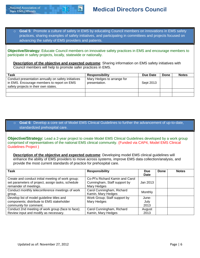

o **Goal 5**: Promote a culture of safety in EMS by educating Council members on innovations in EMS safety practices, sharing examples of safety initiatives, and participating in committees and projects focused on advancing the safety of EMS providers and patients.

**Objective/Strategy:** Educate Council members on innovative safety practices in EMS and encourage members to participate in safety projects, locally, statewide or nationally.

**Description of the objective and expected outcome**: Sharing information on EMS safety initiatives with Council members will help to promote safer practices in EMS.

| Task                                                                                                                                      | <b>Responsibility</b>                       | Due Date  | Done | <b>Notes</b> |
|-------------------------------------------------------------------------------------------------------------------------------------------|---------------------------------------------|-----------|------|--------------|
| Conduct presentation annually on safety initiatives<br>in EMS. Encourage members to report on EMS<br>safety projects in their own states. | Mary Hedges to arrange for<br>presentation. | Sept 2013 |      |              |
|                                                                                                                                           |                                             |           |      |              |
|                                                                                                                                           |                                             |           |      |              |

#### Goal 6: Develop a core set of Model EMS Clinical Guidelines to further the advancement of up-to-date, standardized prehospital care.

**Objective/Strategy:** Lead a 2-year project to create Model EMS Clinical Guidelines developed by a work group comprised of representatives of the national EMS clinical community. (Funded via CAP4, Model EMS Clinical Guidelines Project )

**Description of the objective and expected outcome**: Developing model EMS clinical guidelines will enhance the ability of EMS providers to move across systems, improve EMS data collection/analysis, and provide the most current standards of practice for prehospital care.

| Task                                                                                                   | <b>Responsibility</b>                                           | Due      | Done | <b>Notes</b> |  |  |  |  |
|--------------------------------------------------------------------------------------------------------|-----------------------------------------------------------------|----------|------|--------------|--|--|--|--|
|                                                                                                        |                                                                 | Date     |      |              |  |  |  |  |
| Create and conduct initial meeting of work group;<br>set parameters of project, assign tasks, schedule | Co-PI's Richard Kamin and Carol<br>Cunningham, Staff support by | Jan 2013 |      |              |  |  |  |  |
| remainder of meetings.                                                                                 | Mary Hedges                                                     |          |      |              |  |  |  |  |
| Conduct monthly teleconference meetings of work                                                        | Carol Cunningham, Richard                                       | Monthly  |      |              |  |  |  |  |
| group.                                                                                                 | Kamin, Mary Hedges                                              |          |      |              |  |  |  |  |
| Develop list of model guideline titles and                                                             | Work Group; Staff support by                                    | June-    |      |              |  |  |  |  |
| components; distribute to EMS stakeholder                                                              | Mary Hedges                                                     | July     |      |              |  |  |  |  |
| community for comment.                                                                                 |                                                                 | 2013     |      |              |  |  |  |  |
| Conduct 2nd meeting of work group (face to face);                                                      | Carol Cunningham, Richard                                       | August   |      |              |  |  |  |  |
| Review input and modify as necessary.                                                                  | Kamin, Mary Hedges                                              | 2013     |      |              |  |  |  |  |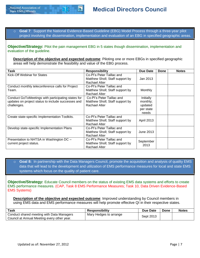o **Goal 7**: Support the National Evidence-Based Guideline (EBG) Model Process through a three-year pilot project involving the dissemination, implementation and evaluation of an EBG in specified geographic areas.

**Objective/Strategy:** Pilot the pain management EBG in 5 states though dissemination, implementation and evaluation of the guideline.

**Description of the objective and expected outcome:** Piloting one or more EBGs in specified geographic areas will help demonstrate the feasibility and value of the EBG process.

| Task                                                                                                                    | <b>Responsibility</b>                                                         | Due Date                                               | Done | <b>Notes</b> |
|-------------------------------------------------------------------------------------------------------------------------|-------------------------------------------------------------------------------|--------------------------------------------------------|------|--------------|
| Kick-Off Webinar for States                                                                                             | Co-Pl's Peter Taillac and<br>Matthew Sholl; Staff support by<br>Rachael Alter | Jan 2013                                               |      |              |
| Conduct monthly teleconference calls for Project<br>Team.                                                               | Co-Pl's Peter Taillac and<br>Matthew Sholl; Staff support by<br>Rachael Alter | Monthly                                                |      |              |
| Conduct GoToMeetings with participating states for<br>updates on project status to include successes and<br>challenges. | Co-Pl's Peter Taillac and<br>Matthew Sholl; Staff support by<br>Rachael Alter | Initially<br>monthly;<br>updated<br>per state<br>needs |      |              |
| Create state-specific Implementation Toolkits.                                                                          | Co-Pl's Peter Taillac and<br>Matthew Sholl; Staff support by<br>Rachael Alter | April 2013                                             |      |              |
| Develop state-specific Implementation Plans                                                                             | Co-Pl's Peter Taillac and<br>Matthew Sholl; Staff support by<br>Rachael Alter | June 2013                                              |      |              |
| Presentation to NHTSA in Washington DC -<br>current project status.                                                     | Co-Pl's Peter Taillac and<br>Matthew Sholl; Staff support by<br>Rachael Alter | September<br>2013                                      |      |              |

**Goal 8:** In partnership with the Data Managers Council, promote the acquisition and analysis of quality EMS data that will lead to the development and utilization of EMS performance measures for local and state EMS systems which focus on the quality of patient care.

**Objective/Strategy:** Educate Council members on the status of existing EMS data systems and efforts to create EMS performance measures. (CAP, Task 8 EMS Performance Measures; Task 10, Data Driven Evidence-Based EMS Systems)

**Description of the objective and expected outcome:** Improved understanding by Council members in using EMS data and EMS performance measures will help promote effective QI in their respective states.

| Task                                                                                     | <b>Responsibility</b>  | Due Date  | Done | <b>Notes</b> |
|------------------------------------------------------------------------------------------|------------------------|-----------|------|--------------|
| Conduct shared meeting with Data Managers<br>Council at Annual Meeting every other year. | Mary Hedges to arrange | Sept 2013 |      |              |